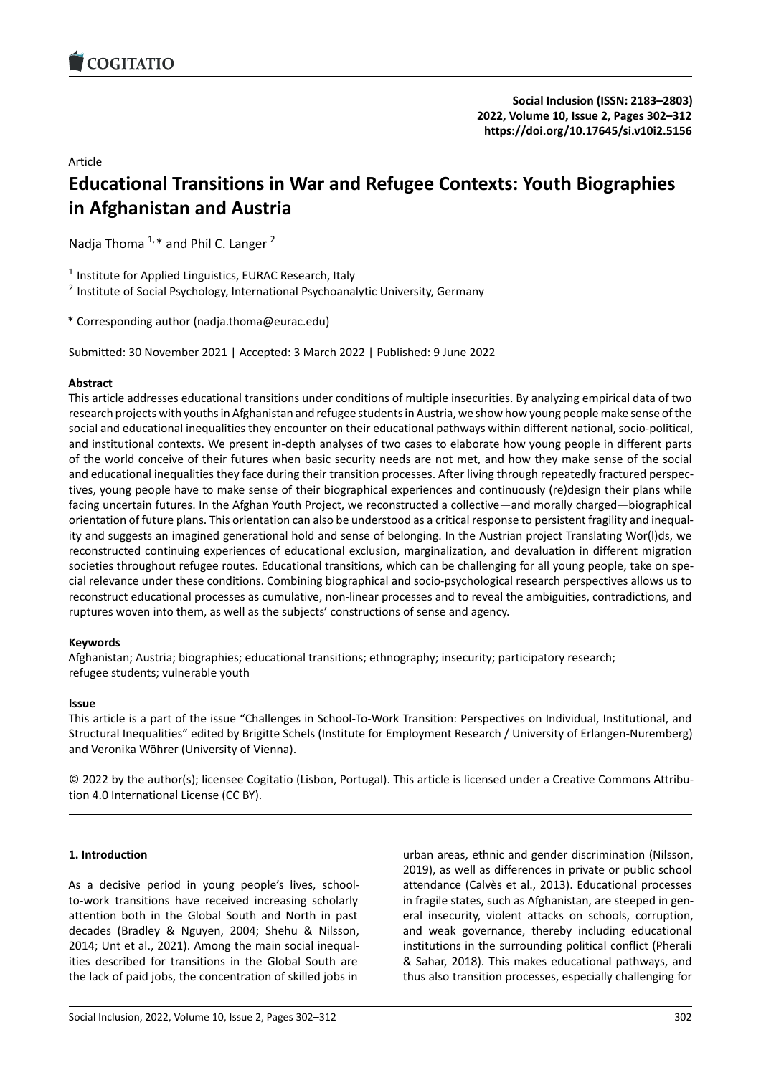# Article

# **Educational Transitions in War and Refugee Cont[exts: Youth Biographies](https://doi.org/10.17645/si.v10i2.5156) in Afghanistan and Austria**

Nadja Thoma  $1, *$  and Phil C. Langer  $2$ 

<sup>1</sup> Institute for Applied Linguistics, EURAC Research, Italy

<sup>2</sup> Institute of Social Psychology, International Psychoanalytic University, Germany

\* Corresponding author (nadja.thoma@eurac.edu)

Submitted: 30 November 2021 | Accepted: 3 March 2022 | Published: 9 June 2022

# **Abstract**

This article addresses educational transitions under conditions of multiple insecurities. By analyzing empirical data of two research projects with youths in Afghanistan and refugee students in Austria, we show how young people make sense of the social and educational inequalities they encounter on their educational pathways within different national, socio‐political, and institutional contexts. We present in-depth analyses of two cases to elaborate how young people in different parts of the world conceive of their futures when basic security needs are not met, and how they make sense of the social and educational inequalities they face during their transition processes. After living through repeatedly fractured perspec‐ tives, young people have to make sense of their biographical experiences and continuously (re)design their plans while facing uncertain futures. In the Afghan Youth Project, we reconstructed a collective—and morally charged—biographical orientation of future plans. This orientation can also be understood as a critical response to persistent fragility and inequal‐ ity and suggests an imagined generational hold and sense of belonging. In the Austrian project Translating Wor(l)ds, we reconstructed continuing experiences of educational exclusion, marginalization, and devaluation in different migration societies throughout refugee routes. Educational transitions, which can be challenging for all young people, take on special relevance under these conditions. Combining biographical and socio‐psychological research perspectives allows us to reconstruct educational processes as cumulative, non‐linear processes and to reveal the ambiguities, contradictions, and ruptures woven into them, as well as the subjects' constructions of sense and agency.

# **Keywords**

Afghanistan; Austria; biographies; educational transitions; ethnography; insecurity; participatory research; refugee students; vulnerable youth

# **Issue**

This article is a part of the issue "Challenges in School‐To‐Work Transition: Perspectives on Individual, Institutional, and Structural Inequalities" edited by Brigitte Schels (Institute for Employment Research / University of Erlangen‐Nuremberg) and Veronika Wöhrer (University of Vienna).

© 2022 by the author(s); licensee Cogitatio (Lisbon, Portugal). This article is licensed under a Creative Commons Attribu‐ tion 4.0 International License (CC BY).

# **1. Introduction**

As a decisive period in young people's lives, school‐ to‐work transitions have received increasing scholarly attention both in the Global South and North in past decades (Bradley & Nguyen, 2004; Shehu & Nilsson, 2014; Unt et al., 2021). Among the main social inequal‐ ities described for transitions in the Global South are the lack of paid jobs, the concentration of skilled jobs in

urban areas, ethnic and gender discrimination (Nilsson, 2019), as well as differences in private or public school attendance (Calvès et al., 2013). Educational processes in fragile states, such as Afghanistan, are steeped in general insecurity, violent attacks on schools, corruption, and weak governance, thereby including educational institutions in the surrounding political conflict (Pherali & Sahar, 2018). This makes educational pathways, and thus also transition processes, especially challenging for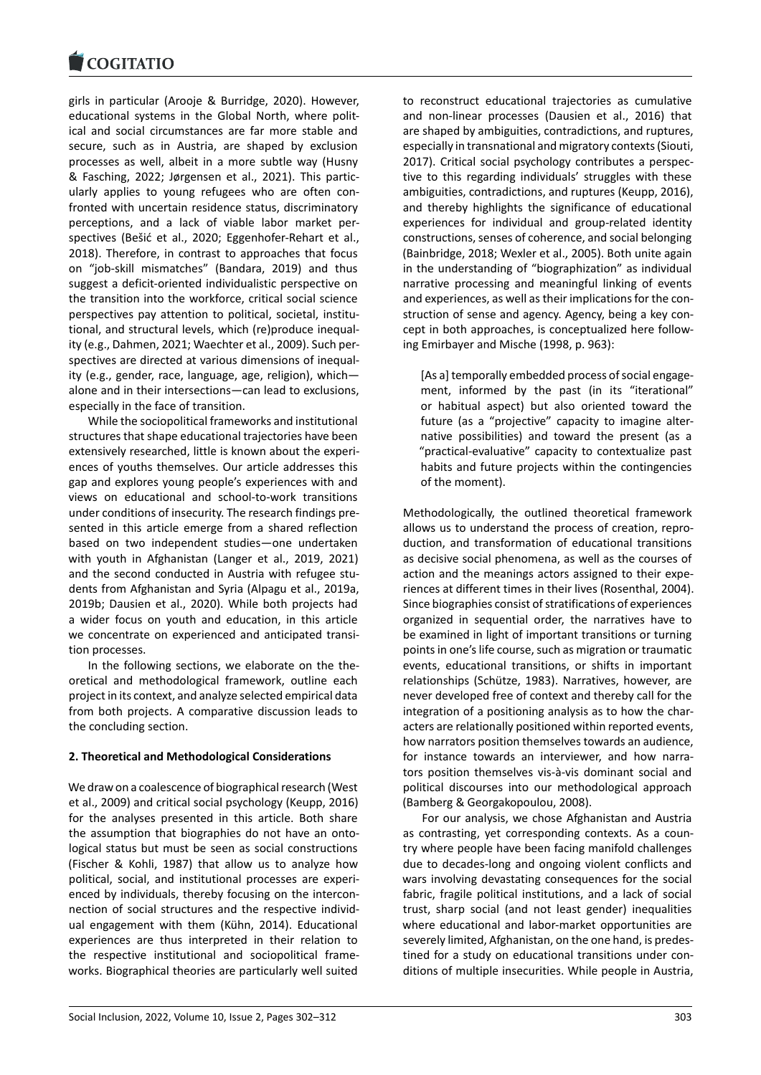girls in particular (Arooje & Burridge, 2020). However, [educational systems](https://www.cogitatiopress.com) in the Global North, where polit‐ ical and social circumstances are far more stable and secure, such as in Austria, are shaped by exclusion processes as well, albeit in a more subtle way (Husny & Fasching, 2022; Jørgensen et al., 2021). This partic‐ ularly applies to young refugees who are often con‐ fronted with uncertain residence status, discriminatory perceptions, and a lack of viable labor market per‐ spectives (Bešić et al., 2020; Eggenhofer‐Rehart et al., 2018). Therefore, in contrast to approaches that focus on "job‐skill mismatches" (Bandara, 2019) and thus suggest a deficit‐oriented individualistic perspective on the transition into the workforce, critical social science perspectives pay attention to political, societal, institu‐ tional, and structural levels, which (re)produce inequal‐ ity (e.g., Dahmen, 2021; Waechter et al., 2009). Such per‐ spectives are directed at various dimensions of inequal‐ ity (e.g., gender, race, language, age, religion), which alone and in their intersections—can lead to exclusions, especially in the face of transition.

While the sociopolitical frameworks and institutional structures that shape educational trajectories have been extensively researched, little is known about the experi‐ ences of youths themselves. Our article addresses this gap and explores young people's experiences with and views on educational and school‐to‐work transitions under conditions of insecurity. The research findings pre‐ sented in this article emerge from a shared reflection based on two independent studies—one undertaken with youth in Afghanistan (Langer et al., 2019, 2021) and the second conducted in Austria with refugee students from Afghanistan and Syria (Alpagu et al., 2019a, 2019b; Dausien et al., 2020). While both projects had a wider focus on youth and education, in this article we concentrate on experienced and anticipated transi‐ tion processes.

In the following sections, we elaborate on the the‐ oretical and methodological framework, outline each project in its context, and analyze selected empirical data from both projects. A comparative discussion leads to the concluding section.

# **2. Theoretical and Methodological Considerations**

We draw on a coalescence of biographical research (West et al., 2009) and critical social psychology (Keupp, 2016) for the analyses presented in this article. Both share the assumption that biographies do not have an onto‐ logical status but must be seen as social constructions (Fischer & Kohli, 1987) that allow us to analyze how political, social, and institutional processes are experi‐ enced by individuals, thereby focusing on the intercon‐ nection of social structures and the respective individ‐ ual engagement with them (Kühn, 2014). Educational experiences are thus interpreted in their relation to the respective institutional and sociopolitical frame‐ works. Biographical theories are particularly well suited to reconstruct educational trajectories as cumulative and non‐linear processes (Dausien et al., 2016) that are shaped by ambiguities, contradictions, and ruptures, especially in transnational and migratory contexts (Siouti, 2017). Critical social psychology contributes a perspec‐ tive to this regarding individuals' struggles with these ambiguities, contradictions, and ruptures (Keupp, 2016), and thereby highlights the significance of educational experiences for individual and group-related identity constructions, senses of coherence, and social belonging (Bainbridge, 2018; Wexler et al., 2005). Both unite again in the understanding of "biographization" as individual narrative processing and meaningful linking of events and experiences, as well as their implications for the con‐ struction of sense and agency. Agency, being a key con‐ cept in both approaches, is conceptualized here follow‐ ing Emirbayer and Mische (1998, p. 963):

[As a] temporally embedded process of social engage‐ ment, informed by the past (in its "iterational" or habitual aspect) but also oriented toward the future (as a "projective" capacity to imagine alter‐ native possibilities) and toward the present (as a "practical‐evaluative" capacity to contextualize past habits and future projects within the contingencies of the moment).

Methodologically, the outlined theoretical framework allows us to understand the process of creation, repro‐ duction, and transformation of educational transitions as decisive social phenomena, as well as the courses of action and the meanings actors assigned to their expe‐ riences at different times in their lives (Rosenthal, 2004). Since biographies consist of stratifications of experiences organized in sequential order, the narratives have to be examined in light of important transitions or turning points in one's life course, such as migration or traumatic events, educational transitions, or shifts in important relationships (Schütze, 1983). Narratives, however, are never developed free of context and thereby call for the integration of a positioning analysis as to how the char‐ acters are relationally positioned within reported events, how narrators position themselves towards an audience, for instance towards an interviewer, and how narrators position themselves vis‐à‐vis dominant social and political discourses into our methodological approach (Bamberg & Georgakopoulou, 2008).

For our analysis, we chose Afghanistan and Austria as contrasting, yet corresponding contexts. As a coun‐ try where people have been facing manifold challenges due to decades‐long and ongoing violent conflicts and wars involving devastating consequences for the social fabric, fragile political institutions, and a lack of social trust, sharp social (and not least gender) inequalities where educational and labor‐market opportunities are severely limited, Afghanistan, on the one hand, is predes‐ tined for a study on educational transitions under con‐ ditions of multiple insecurities. While people in Austria,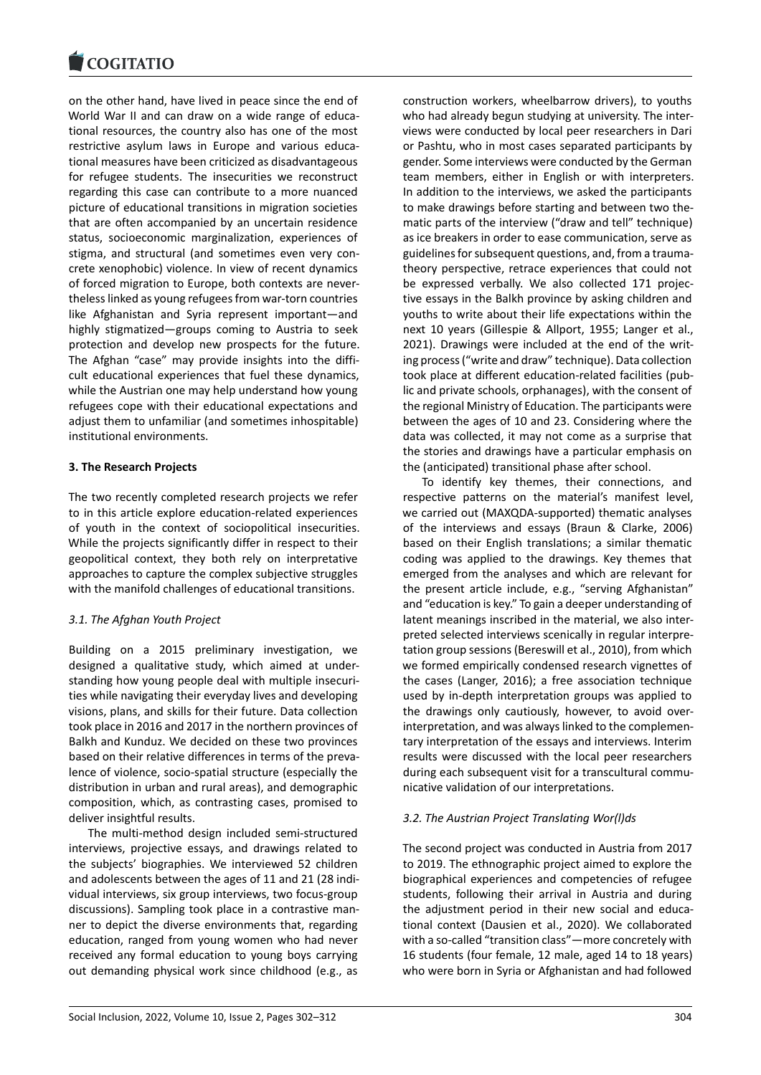#### **COMMITMENT**

on the other hand, have lived in peace since the end of [World War II and ca](https://www.cogitatiopress.com)n draw on a wide range of educational resources, the country also has one of the most restrictive asylum laws in Europe and various educa‐ tional measures have been criticized as disadvantageous for refugee students. The insecurities we reconstruct regarding this case can contribute to a more nuanced picture of educational transitions in migration societies that are often accompanied by an uncertain residence status, socioeconomic marginalization, experiences of stigma, and structural (and sometimes even very con‐ crete xenophobic) violence. In view of recent dynamics of forced migration to Europe, both contexts are never‐ theless linked as young refugees from war‐torn countries like Afghanistan and Syria represent important—and highly stigmatized—groups coming to Austria to seek protection and develop new prospects for the future. The Afghan "case" may provide insights into the diffi‐ cult educational experiences that fuel these dynamics, while the Austrian one may help understand how young refugees cope with their educational expectations and adjust them to unfamiliar (and sometimes inhospitable) institutional environments.

# **3. The Research Projects**

The two recently completed research projects we refer to in this article explore education‐related experiences of youth in the context of sociopolitical insecurities. While the projects significantly differ in respect to their geopolitical context, they both rely on interpretative approaches to capture the complex subjective struggles with the manifold challenges of educational transitions.

# *3.1. The Afghan Youth Project*

Building on a 2015 preliminary investigation, we designed a qualitative study, which aimed at under‐ standing how young people deal with multiple insecuri‐ ties while navigating their everyday lives and developing visions, plans, and skills for their future. Data collection took place in 2016 and 2017 in the northern provinces of Balkh and Kunduz. We decided on these two provinces based on their relative differences in terms of the preva‐ lence of violence, socio‐spatial structure (especially the distribution in urban and rural areas), and demographic composition, which, as contrasting cases, promised to deliver insightful results.

The multi‐method design included semi‐structured interviews, projective essays, and drawings related to the subjects' biographies. We interviewed 52 children and adolescents between the ages of 11 and 21 (28 indi‐ vidual interviews, six group interviews, two focus‐group discussions). Sampling took place in a contrastive man‐ ner to depict the diverse environments that, regarding education, ranged from young women who had never received any formal education to young boys carrying out demanding physical work since childhood (e.g., as

construction workers, wheelbarrow drivers), to youths who had already begun studying at university. The interviews were conducted by local peer researchers in Dari or Pashtu, who in most cases separated participants by gender. Some interviews were conducted by the German team members, either in English or with interpreters. In addition to the interviews, we asked the participants to make drawings before starting and between two the‐ matic parts of the interview ("draw and tell" technique) as ice breakers in order to ease communication, serve as guidelines for subsequent questions, and, from a trauma‐ theory perspective, retrace experiences that could not be expressed verbally. We also collected 171 projec‐ tive essays in the Balkh province by asking children and youths to write about their life expectations within the next 10 years (Gillespie & Allport, 1955; Langer et al., 2021). Drawings were included at the end of the writ‐ ing process ("write and draw" technique). Data collection took place at different education‐related facilities (pub‐ lic and private schools, orphanages), with the consent of the regional Ministry of Education. The participants were between the ages of 10 and 23. Considering where the data was collected, it may not come as a surprise that the stories and drawings have a particular emphasis on the (anticipated) transitional phase after school.

To identify key themes, their connections, and respective patterns on the material's manifest level, we carried out (MAXQDA‐supported) thematic analyses of the interviews and essays (Braun & Clarke, 2006) based on their English translations; a similar thematic coding was applied to the drawings. Key themes that emerged from the analyses and which are relevant for the present article include, e.g., "serving Afghanistan" and "education is key." To gain a deeper understanding of latent meanings inscribed in the material, we also inter‐ preted selected interviews scenically in regular interpre‐ tation group sessions (Bereswill et al., 2010), from which we formed empirically condensed research vignettes of the cases (Langer, 2016); a free association technique used by in‐depth interpretation groups was applied to the drawings only cautiously, however, to avoid over‐ interpretation, and was always linked to the complemen‐ tary interpretation of the essays and interviews. Interim results were discussed with the local peer researchers during each subsequent visit for a transcultural commu‐ nicative validation of our interpretations.

# *3.2. The Austrian Project Translating Wor(l)ds*

The second project was conducted in Austria from 2017 to 2019. The ethnographic project aimed to explore the biographical experiences and competencies of refugee students, following their arrival in Austria and during the adjustment period in their new social and educa‐ tional context (Dausien et al., 2020). We collaborated with a so-called "transition class" - more concretely with 16 students (four female, 12 male, aged 14 to 18 years) who were born in Syria or Afghanistan and had followed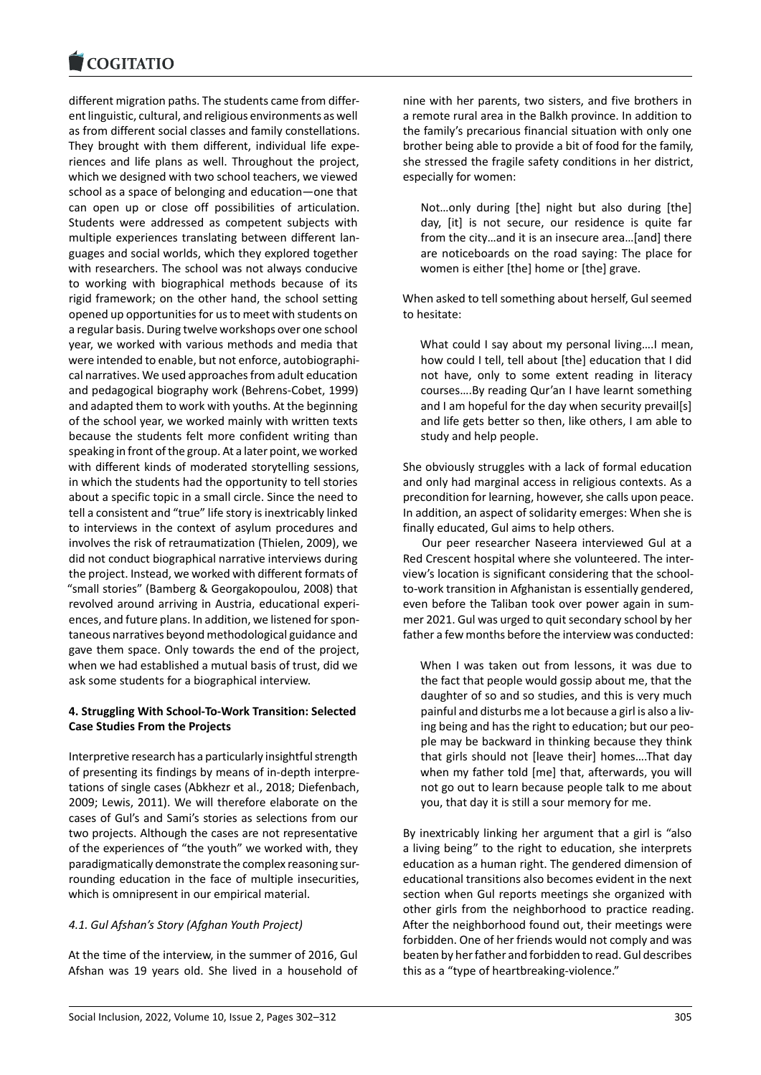#### **COMMITMENT**

different migration paths. The students came from differ‐ [ent linguistic, cultura](https://www.cogitatiopress.com)l, and religious environments as well as from different social classes and family constellations. They brought with them different, individual life expe‐ riences and life plans as well. Throughout the project, which we designed with two school teachers, we viewed school as a space of belonging and education—one that can open up or close off possibilities of articulation. Students were addressed as competent subjects with multiple experiences translating between different lan‐ guages and social worlds, which they explored together with researchers. The school was not always conducive to working with biographical methods because of its rigid framework; on the other hand, the school setting opened up opportunities for us to meet with students on a regular basis. During twelve workshops over one school year, we worked with various methods and media that were intended to enable, but not enforce, autobiographi‐ cal narratives. We used approaches from adult education and pedagogical biography work (Behrens‐Cobet, 1999) and adapted them to work with youths. At the beginning of the school year, we worked mainly with written texts because the students felt more confident writing than speaking in front of the group. At a later point, we worked with different kinds of moderated storytelling sessions, in which the students had the opportunity to tell stories about a specific topic in a small circle. Since the need to tell a consistent and "true" life story is inextricably linked to interviews in the context of asylum procedures and involves the risk of retraumatization (Thielen, 2009), we did not conduct biographical narrative interviews during the project. Instead, we worked with different formats of "small stories" (Bamberg & Georgakopoulou, 2008) that revolved around arriving in Austria, educational experi‐ ences, and future plans. In addition, we listened for spon‐ taneous narratives beyond methodological guidance and gave them space. Only towards the end of the project, when we had established a mutual basis of trust, did we ask some students for a biographical interview.

# **4. Struggling With School‐To‐Work Transition: Selected Case Studies From the Projects**

Interpretive research has a particularly insightful strength of presenting its findings by means of in‐depth interpre‐ tations of single cases (Abkhezr et al., 2018; Diefenbach, 2009; Lewis, 2011). We will therefore elaborate on the cases of Gul's and Sami's stories as selections from our two projects. Although the cases are not representative of the experiences of "the youth" we worked with, they paradigmatically demonstrate the complex reasoning sur‐ rounding education in the face of multiple insecurities, which is omnipresent in our empirical material.

# *4.1. Gul Afshan's Story (Afghan Youth Project)*

At the time of the interview, in the summer of 2016, Gul Afshan was 19 years old. She lived in a household of nine with her parents, two sisters, and five brothers in a remote rural area in the Balkh province. In addition to the family's precarious financial situation with only one brother being able to provide a bit of food for the family, she stressed the fragile safety conditions in her district, especially for women:

Not…only during [the] night but also during [the] day, [it] is not secure, our residence is quite far from the city…and it is an insecure area…[and] there are noticeboards on the road saying: The place for women is either [the] home or [the] grave.

When asked to tell something about herself, Gul seemed to hesitate:

What could I say about my personal living….I mean, how could I tell, tell about [the] education that I did not have, only to some extent reading in literacy courses….By reading Qur'an I have learnt something and I am hopeful for the day when security prevail[s] and life gets better so then, like others, I am able to study and help people.

She obviously struggles with a lack of formal education and only had marginal access in religious contexts. As a precondition for learning, however, she calls upon peace. In addition, an aspect of solidarity emerges: When she is finally educated, Gul aims to help others.

Our peer researcher Naseera interviewed Gul at a Red Crescent hospital where she volunteered. The inter‐ view's location is significant considering that the school‐ to‐work transition in Afghanistan is essentially gendered, even before the Taliban took over power again in sum‐ mer 2021. Gul was urged to quit secondary school by her father a few months before the interview was conducted:

When I was taken out from lessons, it was due to the fact that people would gossip about me, that the daughter of so and so studies, and this is very much painful and disturbs me a lot because a girl is also a liv‐ ing being and has the right to education; but our peo‐ ple may be backward in thinking because they think that girls should not [leave their] homes….That day when my father told [me] that, afterwards, you will not go out to learn because people talk to me about you, that day it is still a sour memory for me.

By inextricably linking her argument that a girl is "also a living being" to the right to education, she interprets education as a human right. The gendered dimension of educational transitions also becomes evident in the next section when Gul reports meetings she organized with other girls from the neighborhood to practice reading. After the neighborhood found out, their meetings were forbidden. One of her friends would not comply and was beaten by her father and forbidden to read. Gul describes this as a "type of heartbreaking‐violence."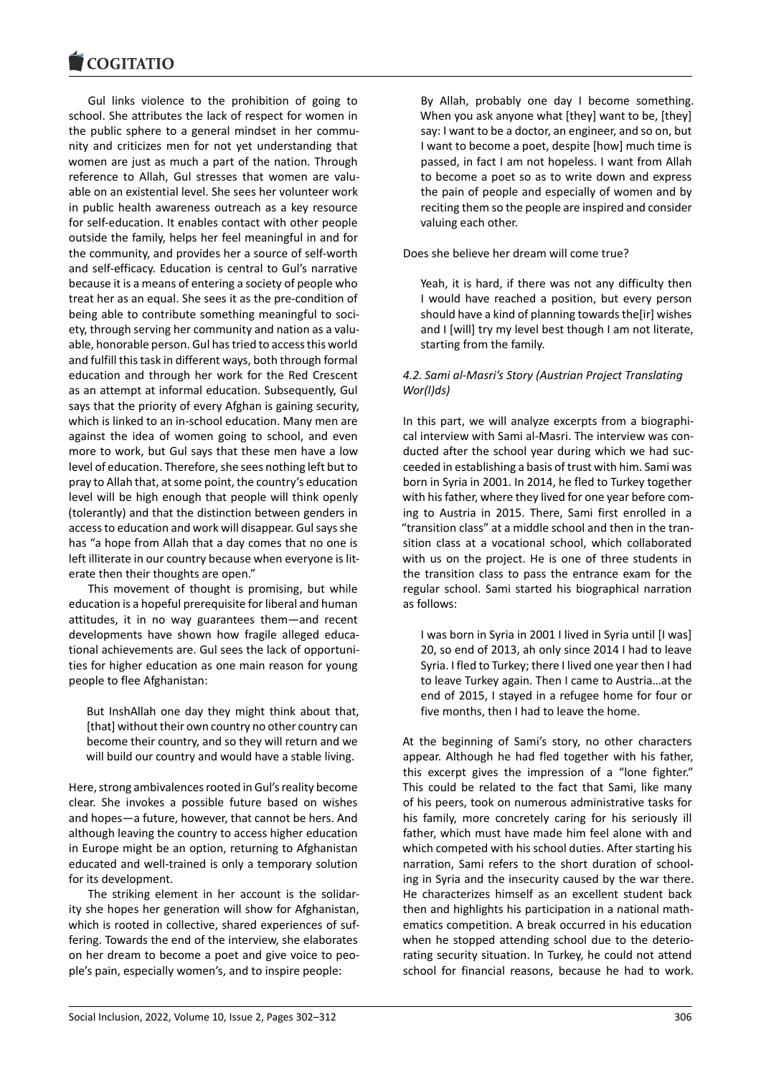Gul links violence to the prohibition of going to [school. She attribute](https://www.cogitatiopress.com)s the lack of respect for women in the public sphere to a general mindset in her commu‐ nity and criticizes men for not yet understanding that women are just as much a part of the nation. Through reference to Allah, Gul stresses that women are valu‐ able on an existential level. She sees her volunteer work in public health awareness outreach as a key resource for self-education. It enables contact with other people outside the family, helps her feel meaningful in and for the community, and provides her a source of self‐worth and self‐efficacy. Education is central to Gul's narrative because it is a means of entering a society of people who treat her as an equal. She sees it as the pre‐condition of being able to contribute something meaningful to soci‐ ety, through serving her community and nation as a valu‐ able, honorable person. Gul has tried to access this world and fulfill this task in different ways, both through formal education and through her work for the Red Crescent as an attempt at informal education. Subsequently, Gul says that the priority of every Afghan is gaining security, which is linked to an in‐school education. Many men are against the idea of women going to school, and even more to work, but Gul says that these men have a low level of education. Therefore, she sees nothing left but to pray to Allah that, at some point, the country's education level will be high enough that people will think openly (tolerantly) and that the distinction between genders in access to education and work will disappear. Gul says she has "a hope from Allah that a day comes that no one is left illiterate in our country because when everyone is lit‐ erate then their thoughts are open."

This movement of thought is promising, but while education is a hopeful prerequisite for liberal and human attitudes, it in no way guarantees them—and recent developments have shown how fragile alleged educa‐ tional achievements are. Gul sees the lack of opportuni‐ ties for higher education as one main reason for young people to flee Afghanistan:

But InshAllah one day they might think about that, [that] without their own country no other country can become their country, and so they will return and we will build our country and would have a stable living.

Here, strong ambivalences rooted in Gul's reality become clear. She invokes a possible future based on wishes and hopes—a future, however, that cannot be hers. And although leaving the country to access higher education in Europe might be an option, returning to Afghanistan educated and well-trained is only a temporary solution for its development.

The striking element in her account is the solidar‐ ity she hopes her generation will show for Afghanistan, which is rooted in collective, shared experiences of suffering. Towards the end of the interview, she elaborates on her dream to become a poet and give voice to peo‐ ple's pain, especially women's, and to inspire people:

By Allah, probably one day I become something. When you ask anyone what [they] want to be, [they] say: I want to be a doctor, an engineer, and so on, but I want to become a poet, despite [how] much time is passed, in fact I am not hopeless. I want from Allah to become a poet so as to write down and express the pain of people and especially of women and by reciting them so the people are inspired and consider valuing each other.

Does she believe her dream will come true?

Yeah, it is hard, if there was not any difficulty then I would have reached a position, but every person should have a kind of planning towards the[ir] wishes and I [will] try my level best though I am not literate, starting from the family.

# *4.2. Sami al‐Masri's Story (Austrian Project Translating Wor(l)ds)*

In this part, we will analyze excerpts from a biographi‐ cal interview with Sami al‐Masri. The interview was con‐ ducted after the school year during which we had suc‐ ceeded in establishing a basis of trust with him. Sami was born in Syria in 2001. In 2014, he fled to Turkey together with his father, where they lived for one year before com‐ ing to Austria in 2015. There, Sami first enrolled in a "transition class" at a middle school and then in the tran‐ sition class at a vocational school, which collaborated with us on the project. He is one of three students in the transition class to pass the entrance exam for the regular school. Sami started his biographical narration as follows:

I was born in Syria in 2001 I lived in Syria until [I was] 20, so end of 2013, ah only since 2014 I had to leave Syria. I fled to Turkey; there I lived one year then I had to leave Turkey again. Then I came to Austria…at the end of 2015, I stayed in a refugee home for four or five months, then I had to leave the home.

At the beginning of Sami's story, no other characters appear. Although he had fled together with his father, this excerpt gives the impression of a "lone fighter." This could be related to the fact that Sami, like many of his peers, took on numerous administrative tasks for his family, more concretely caring for his seriously ill father, which must have made him feel alone with and which competed with his school duties. After starting his narration, Sami refers to the short duration of school‐ ing in Syria and the insecurity caused by the war there. He characterizes himself as an excellent student back then and highlights his participation in a national math‐ ematics competition. A break occurred in his education when he stopped attending school due to the deteriorating security situation. In Turkey, he could not attend school for financial reasons, because he had to work.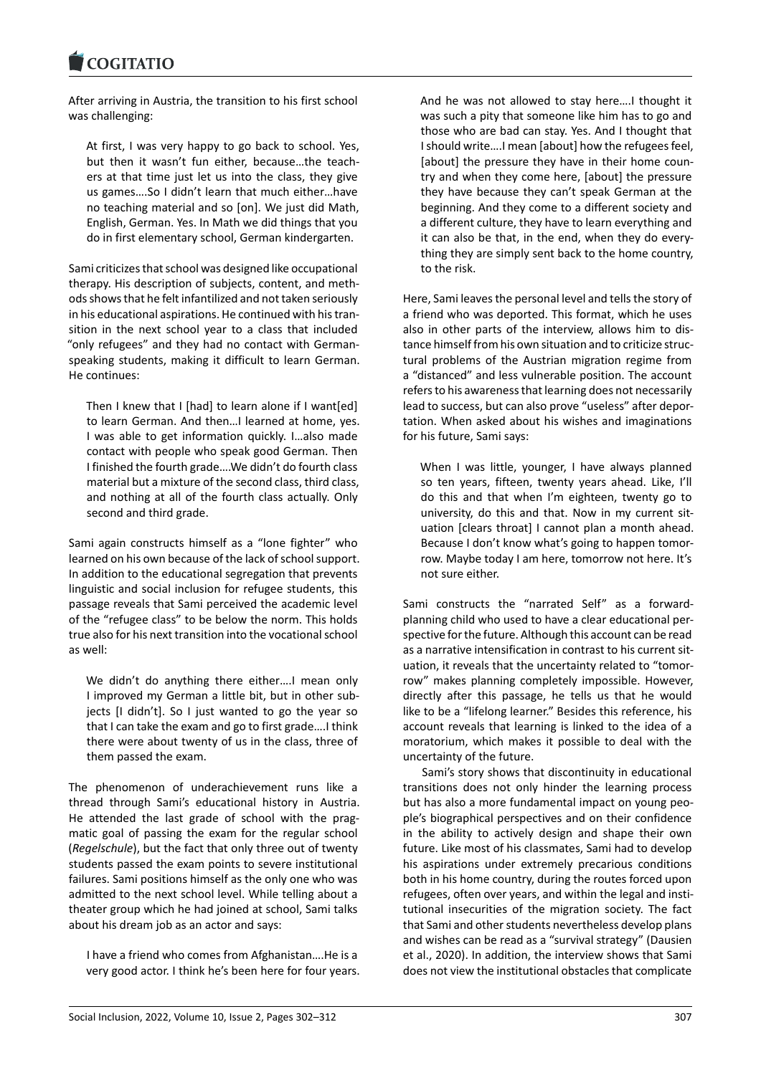After arriving in Austria, the transition to his first school [was challenging:](https://www.cogitatiopress.com)

At first, I was very happy to go back to school. Yes, but then it wasn't fun either, because…the teach‐ ers at that time just let us into the class, they give us games….So I didn't learn that much either…have no teaching material and so [on]. We just did Math, English, German. Yes. In Math we did things that you do in first elementary school, German kindergarten.

Sami criticizes that school was designed like occupational therapy. His description of subjects, content, and meth‐ ods shows that he felt infantilized and not taken seriously in his educational aspirations. He continued with his tran‐ sition in the next school year to a class that included "only refugees" and they had no contact with German‐ speaking students, making it difficult to learn German. He continues:

Then I knew that I [had] to learn alone if I want[ed] to learn German. And then…I learned at home, yes. I was able to get information quickly. I…also made contact with people who speak good German. Then I finished the fourth grade….We didn't do fourth class material but a mixture of the second class, third class, and nothing at all of the fourth class actually. Only second and third grade.

Sami again constructs himself as a "lone fighter" who learned on his own because of the lack of school support. In addition to the educational segregation that prevents linguistic and social inclusion for refugee students, this passage reveals that Sami perceived the academic level of the "refugee class" to be below the norm. This holds true also for his next transition into the vocational school as well:

We didn't do anything there either….I mean only I improved my German a little bit, but in other sub‐ jects [I didn't]. So I just wanted to go the year so that I can take the exam and go to first grade….I think there were about twenty of us in the class, three of them passed the exam.

The phenomenon of underachievement runs like a thread through Sami's educational history in Austria. He attended the last grade of school with the prag‐ matic goal of passing the exam for the regular school (*Regelschule*), but the fact that only three out of twenty students passed the exam points to severe institutional failures. Sami positions himself as the only one who was admitted to the next school level. While telling about a theater group which he had joined at school, Sami talks about his dream job as an actor and says:

I have a friend who comes from Afghanistan….He is a very good actor. I think he's been here for four years. And he was not allowed to stay here….I thought it was such a pity that someone like him has to go and those who are bad can stay. Yes. And I thought that I should write….I mean [about] how the refugees feel, [about] the pressure they have in their home country and when they come here, [about] the pressure they have because they can't speak German at the beginning. And they come to a different society and a different culture, they have to learn everything and it can also be that, in the end, when they do every‐ thing they are simply sent back to the home country, to the risk.

Here, Sami leaves the personal level and tells the story of a friend who was deported. This format, which he uses also in other parts of the interview, allows him to dis‐ tance himself from his own situation and to criticize struc‐ tural problems of the Austrian migration regime from a "distanced" and less vulnerable position. The account refers to his awareness that learning does not necessarily lead to success, but can also prove "useless" after depor‐ tation. When asked about his wishes and imaginations for his future, Sami says:

When I was little, younger, I have always planned so ten years, fifteen, twenty years ahead. Like, I'll do this and that when I'm eighteen, twenty go to university, do this and that. Now in my current situation [clears throat] I cannot plan a month ahead. Because I don't know what's going to happen tomor‐ row. Maybe today I am here, tomorrow not here. It's not sure either.

Sami constructs the "narrated Self" as a forward‐ planning child who used to have a clear educational per‐ spective for the future. Although this account can be read as a narrative intensification in contrast to his current sit‐ uation, it reveals that the uncertainty related to "tomor‐ row" makes planning completely impossible. However, directly after this passage, he tells us that he would like to be a "lifelong learner." Besides this reference, his account reveals that learning is linked to the idea of a moratorium, which makes it possible to deal with the uncertainty of the future.

Sami's story shows that discontinuity in educational transitions does not only hinder the learning process but has also a more fundamental impact on young peo‐ ple's biographical perspectives and on their confidence in the ability to actively design and shape their own future. Like most of his classmates, Sami had to develop his aspirations under extremely precarious conditions both in his home country, during the routes forced upon refugees, often over years, and within the legal and insti‐ tutional insecurities of the migration society. The fact that Sami and other students nevertheless develop plans and wishes can be read as a "survival strategy" (Dausien et al., 2020). In addition, the interview shows that Sami does not view the institutional obstacles that complicate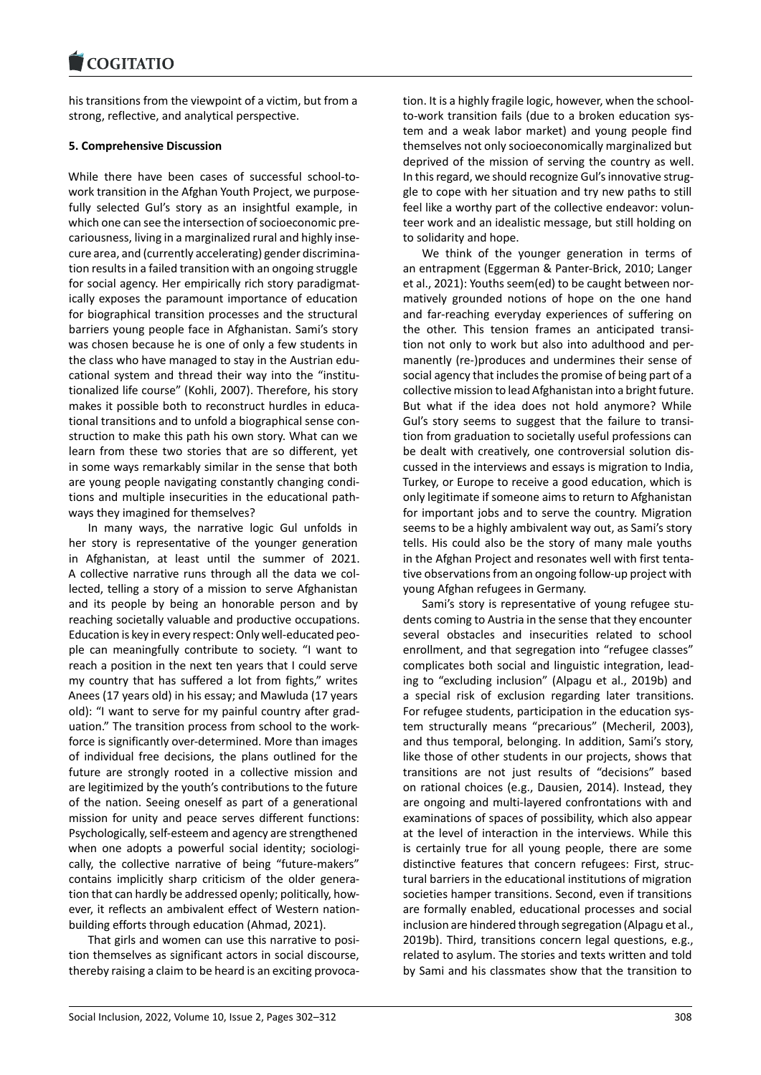#### COQUATIO

his transitions from the viewpoint of a victim, but from a [strong, reflective, an](https://www.cogitatiopress.com)d analytical perspective.

# **5. Comprehensive Discussion**

While there have been cases of successful school-towork transition in the Afghan Youth Project, we purpose‐ fully selected Gul's story as an insightful example, in which one can see the intersection of socioeconomic pre‐ cariousness, living in a marginalized rural and highly inse‐ cure area, and (currently accelerating) gender discrimina‐ tion results in a failed transition with an ongoing struggle for social agency. Her empirically rich story paradigmatically exposes the paramount importance of education for biographical transition processes and the structural barriers young people face in Afghanistan. Sami's story was chosen because he is one of only a few students in the class who have managed to stay in the Austrian edu‐ cational system and thread their way into the "institu‐ tionalized life course" (Kohli, 2007). Therefore, his story makes it possible both to reconstruct hurdles in educa‐ tional transitions and to unfold a biographical sense con‐ struction to make this path his own story. What can we learn from these two stories that are so different, yet in some ways remarkably similar in the sense that both are young people navigating constantly changing condi‐ tions and multiple insecurities in the educational path‐ ways they imagined for themselves?

In many ways, the narrative logic Gul unfolds in her story is representative of the younger generation in Afghanistan, at least until the summer of 2021. A collective narrative runs through all the data we col‐ lected, telling a story of a mission to serve Afghanistan and its people by being an honorable person and by reaching societally valuable and productive occupations. Education is key in every respect: Only well‐educated peo‐ ple can meaningfully contribute to society. "I want to reach a position in the next ten years that I could serve my country that has suffered a lot from fights," writes Anees (17 years old) in his essay; and Mawluda (17 years old): "I want to serve for my painful country after grad‐ uation." The transition process from school to the work‐ force is significantly over-determined. More than images of individual free decisions, the plans outlined for the future are strongly rooted in a collective mission and are legitimized by the youth's contributions to the future of the nation. Seeing oneself as part of a generational mission for unity and peace serves different functions: Psychologically, self‐esteem and agency are strengthened when one adopts a powerful social identity; sociologically, the collective narrative of being "future-makers" contains implicitly sharp criticism of the older genera‐ tion that can hardly be addressed openly; politically, how‐ ever, it reflects an ambivalent effect of Western nation‐ building efforts through education (Ahmad, 2021).

That girls and women can use this narrative to posi‐ tion themselves as significant actors in social discourse, thereby raising a claim to be heard is an exciting provoca‐ tion. It is a highly fragile logic, however, when the school‐ to‐work transition fails (due to a broken education sys‐ tem and a weak labor market) and young people find themselves not only socioeconomically marginalized but deprived of the mission of serving the country as well. In this regard, we should recognize Gul's innovative strug‐ gle to cope with her situation and try new paths to still feel like a worthy part of the collective endeavor: volun‐ teer work and an idealistic message, but still holding on to solidarity and hope.

We think of the younger generation in terms of an entrapment (Eggerman & Panter‐Brick, 2010; Langer et al., 2021): Youths seem(ed) to be caught between nor‐ matively grounded notions of hope on the one hand and far-reaching everyday experiences of suffering on the other. This tension frames an anticipated transi‐ tion not only to work but also into adulthood and per‐ manently (re‐)produces and undermines their sense of social agency that includes the promise of being part of a collective mission to lead Afghanistan into a bright future. But what if the idea does not hold anymore? While Gul's story seems to suggest that the failure to transi‐ tion from graduation to societally useful professions can be dealt with creatively, one controversial solution dis‐ cussed in the interviews and essays is migration to India, Turkey, or Europe to receive a good education, which is only legitimate if someone aims to return to Afghanistan for important jobs and to serve the country. Migration seems to be a highly ambivalent way out, as Sami's story tells. His could also be the story of many male youths in the Afghan Project and resonates well with first tenta‐ tive observations from an ongoing follow‐up project with young Afghan refugees in Germany.

Sami's story is representative of young refugee stu‐ dents coming to Austria in the sense that they encounter several obstacles and insecurities related to school enrollment, and that segregation into "refugee classes" complicates both social and linguistic integration, lead‐ ing to "excluding inclusion" (Alpagu et al., 2019b) and a special risk of exclusion regarding later transitions. For refugee students, participation in the education system structurally means "precarious" (Mecheril, 2003), and thus temporal, belonging. In addition, Sami's story, like those of other students in our projects, shows that transitions are not just results of "decisions" based on rational choices (e.g., Dausien, 2014). Instead, they are ongoing and multi‐layered confrontations with and examinations of spaces of possibility, which also appear at the level of interaction in the interviews. While this is certainly true for all young people, there are some distinctive features that concern refugees: First, struc‐ tural barriers in the educational institutions of migration societies hamper transitions. Second, even if transitions are formally enabled, educational processes and social inclusion are hindered through segregation (Alpagu et al., 2019b). Third, transitions concern legal questions, e.g., related to asylum. The stories and texts written and told by Sami and his classmates show that the transition to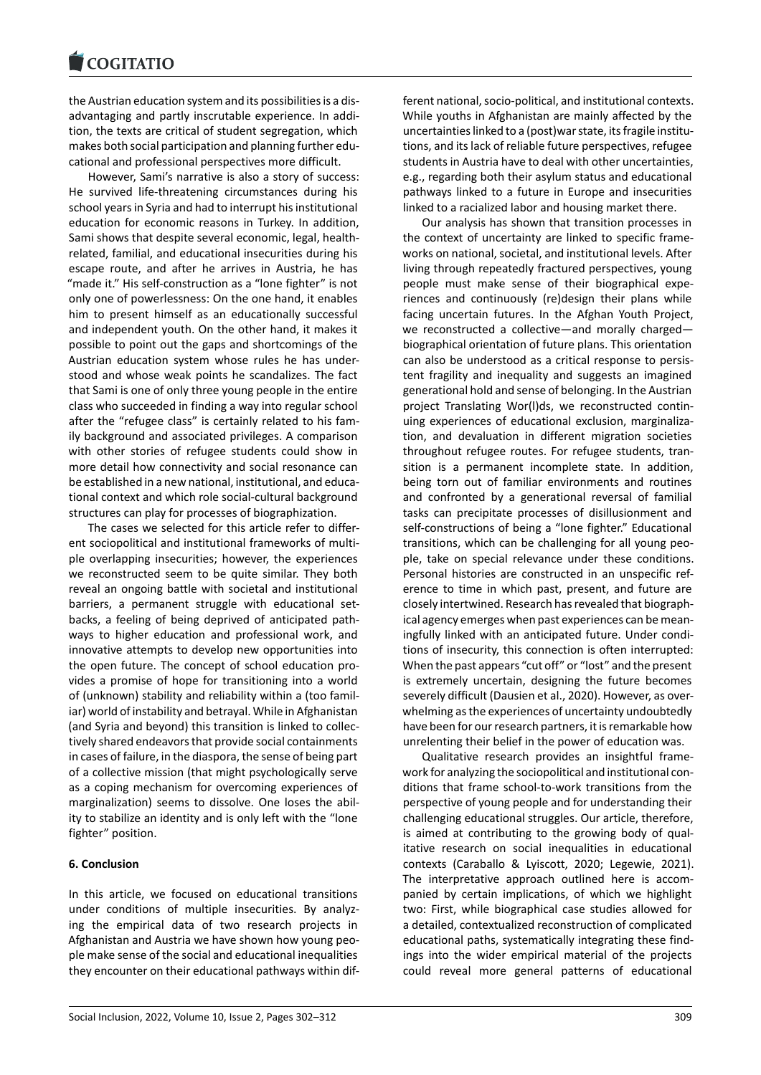#### COGHALIO

the Austrian education system and its possibilities is a dis‐ [advantaging and par](https://www.cogitatiopress.com)tly inscrutable experience. In addi‐ tion, the texts are critical of student segregation, which makes both social participation and planning further edu‐ cational and professional perspectives more difficult.

However, Sami's narrative is also a story of success: He survived life-threatening circumstances during his school years in Syria and had to interrupt his institutional education for economic reasons in Turkey. In addition, Sami shows that despite several economic, legal, health‐ related, familial, and educational insecurities during his escape route, and after he arrives in Austria, he has "made it." His self‐construction as a "lone fighter" is not only one of powerlessness: On the one hand, it enables him to present himself as an educationally successful and independent youth. On the other hand, it makes it possible to point out the gaps and shortcomings of the Austrian education system whose rules he has under‐ stood and whose weak points he scandalizes. The fact that Sami is one of only three young people in the entire class who succeeded in finding a way into regular school after the "refugee class" is certainly related to his fam‐ ily background and associated privileges. A comparison with other stories of refugee students could show in more detail how connectivity and social resonance can be established in a new national, institutional, and educa‐ tional context and which role social‐cultural background structures can play for processes of biographization.

The cases we selected for this article refer to differ‐ ent sociopolitical and institutional frameworks of multi‐ ple overlapping insecurities; however, the experiences we reconstructed seem to be quite similar. They both reveal an ongoing battle with societal and institutional barriers, a permanent struggle with educational setbacks, a feeling of being deprived of anticipated path‐ ways to higher education and professional work, and innovative attempts to develop new opportunities into the open future. The concept of school education pro‐ vides a promise of hope for transitioning into a world of (unknown) stability and reliability within a (too famil‐ iar) world of instability and betrayal. While in Afghanistan (and Syria and beyond) this transition is linked to collec‐ tively shared endeavors that provide social containments in cases of failure, in the diaspora, the sense of being part of a collective mission (that might psychologically serve as a coping mechanism for overcoming experiences of marginalization) seems to dissolve. One loses the abil‐ ity to stabilize an identity and is only left with the "lone fighter" position.

# **6. Conclusion**

In this article, we focused on educational transitions under conditions of multiple insecurities. By analyz‐ ing the empirical data of two research projects in Afghanistan and Austria we have shown how young peo‐ ple make sense of the social and educational inequalities they encounter on their educational pathways within dif‐ ferent national, socio‐political, and institutional contexts. While youths in Afghanistan are mainly affected by the uncertainties linked to a (post)war state, its fragile institu‐ tions, and its lack of reliable future perspectives, refugee students in Austria have to deal with other uncertainties, e.g., regarding both their asylum status and educational pathways linked to a future in Europe and insecurities linked to a racialized labor and housing market there.

Our analysis has shown that transition processes in the context of uncertainty are linked to specific frame‐ works on national, societal, and institutional levels. After living through repeatedly fractured perspectives, young people must make sense of their biographical expe‐ riences and continuously (re)design their plans while facing uncertain futures. In the Afghan Youth Project, we reconstructed a collective—and morally charged biographical orientation of future plans. This orientation can also be understood as a critical response to persis‐ tent fragility and inequality and suggests an imagined generational hold and sense of belonging. In the Austrian project Translating Wor(l)ds, we reconstructed contin‐ uing experiences of educational exclusion, marginaliza‐ tion, and devaluation in different migration societies throughout refugee routes. For refugee students, tran‐ sition is a permanent incomplete state. In addition, being torn out of familiar environments and routines and confronted by a generational reversal of familial tasks can precipitate processes of disillusionment and self-constructions of being a "lone fighter." Educational transitions, which can be challenging for all young peo‐ ple, take on special relevance under these conditions. Personal histories are constructed in an unspecific ref‐ erence to time in which past, present, and future are closely intertwined. Research has revealed that biograph‐ ical agency emerges when past experiences can be mean‐ ingfully linked with an anticipated future. Under condi‐ tions of insecurity, this connection is often interrupted: When the past appears "cut off" or "lost" and the present is extremely uncertain, designing the future becomes severely difficult (Dausien et al., 2020). However, as over‐ whelming as the experiences of uncertainty undoubtedly have been for our research partners, it is remarkable how unrelenting their belief in the power of education was.

Qualitative research provides an insightful frame‐ work for analyzing the sociopolitical and institutional con‐ ditions that frame school‐to‐work transitions from the perspective of young people and for understanding their challenging educational struggles. Our article, therefore, is aimed at contributing to the growing body of qual‐ itative research on social inequalities in educational contexts (Caraballo & Lyiscott, 2020; Legewie, 2021). The interpretative approach outlined here is accompanied by certain implications, of which we highlight two: First, while biographical case studies allowed for a detailed, contextualized reconstruction of complicated educational paths, systematically integrating these find‐ ings into the wider empirical material of the projects could reveal more general patterns of educational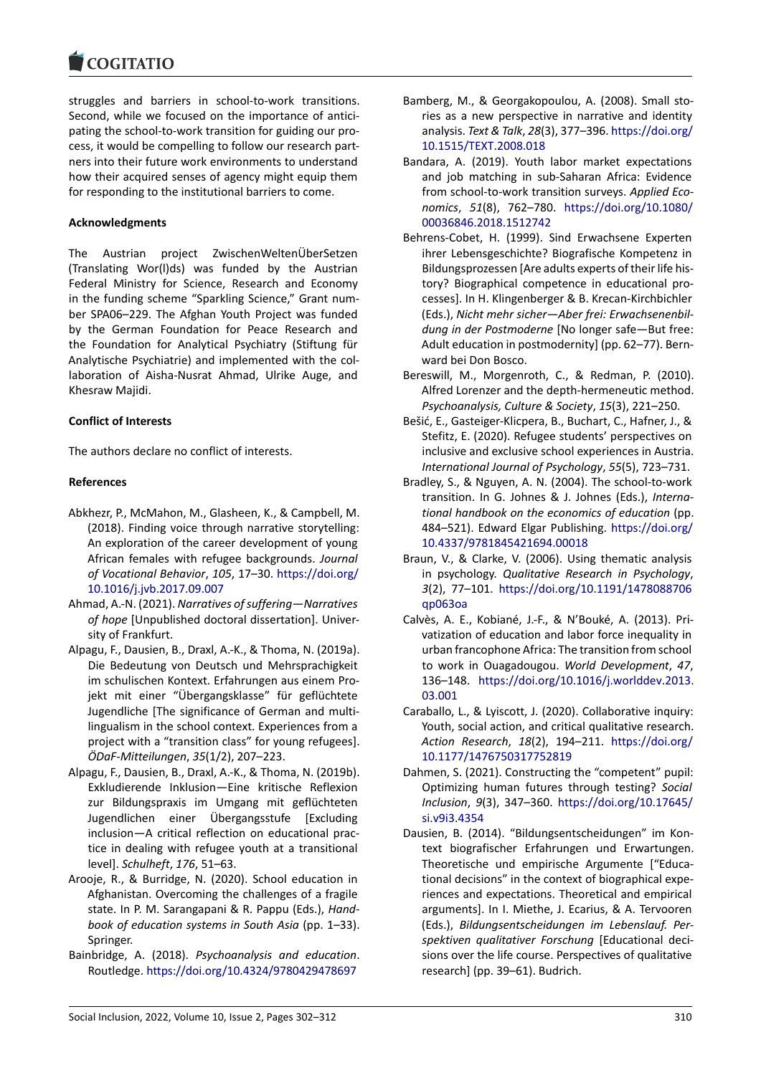struggles and barriers in school-to-work transitions. [Second, while we fo](https://www.cogitatiopress.com)cused on the importance of antici‐ pating the school-to-work transition for guiding our process, it would be compelling to follow our research part‐ ners into their future work environments to understand how their acquired senses of agency might equip them for responding to the institutional barriers to come.

# **Acknowledgments**

The Austrian project ZwischenWeltenÜberSetzen (Translating Wor(l)ds) was funded by the Austrian Federal Ministry for Science, Research and Economy in the funding scheme "Sparkling Science," Grant num‐ ber SPA06–229. The Afghan Youth Project was funded by the German Foundation for Peace Research and the Foundation for Analytical Psychiatry (Stiftung für Analytische Psychiatrie) and implemented with the col‐ laboration of Aisha‐Nusrat Ahmad, Ulrike Auge, and Khesraw Majidi.

# **Conflict of Interests**

The authors declare no conflict of interests.

# **References**

- Abkhezr, P., McMahon, M., Glasheen, K., & Campbell, M. (2018). Finding voice through narrative storytelling: An exploration of the career development of young African females with refugee backgrounds. *Journal of Vocational Behavior*, *105*, 17–30. https://doi.org/ 10.1016/j.jvb.2017.09.007
- Ahmad, A.‐N. (2021). *Narratives of suffering—Narratives of hope* [Unpublished doctoral dissertation]. Univer‐ sity of Frankfurt.
- Alp[agu, F., Dausien, B., Draxl, A](https://doi.org/10.1016/j.jvb.2017.09.007).‐K., & Th[oma, N. \(2019a\).](https://doi.org/10.1016/j.jvb.2017.09.007) Die Bedeutung von Deutsch und Mehrsprachigkeit im schulischen Kontext. Erfahrungen aus einem Pro‐ jekt mit einer "Übergangsklasse" für geflüchtete Jugendliche [The significance of German and multi‐ lingualism in the school context. Experiences from a project with a "transition class" for young refugees]. *ÖDaF‐Mitteilungen*, *35*(1/2), 207–223.
- Alpagu, F., Dausien, B., Draxl, A.‐K., & Thoma, N. (2019b). Exkludierende Inklusion—Eine kritische Reflexion zur Bildungspraxis im Umgang mit geflüchteten Jugendlichen einer Übergangsstufe [Excluding inclusion—A critical reflection on educational prac‐ tice in dealing with refugee youth at a transitional level]. *Schulheft*, *176*, 51–63.
- Arooje, R., & Burridge, N. (2020). School education in Afghanistan. Overcoming the challenges of a fragile state. In P. M. Sarangapani & R. Pappu (Eds.), *Hand‐ book of education systems in South Asia* (pp. 1–33). Springer.
- Bainbridge, A. (2018). *Psychoanalysis and education*. Routledge. https://doi.org/10.4324/9780429478697
- Bamberg, M., & Georgakopoulou, A. (2008). Small sto‐ ries as a new perspective in narrative and identity analysis. *Text & Talk*, *28*(3), 377–396. https://doi.org/ 10.1515/TEXT.2008.018
- Bandara, A. (2019). Youth labor market expectations and job matching in sub‐Saharan Africa: Evidence from school‐to‐work transition surveys. *[Applied Eco‐](https://doi.org/10.1515/TEXT.2008.018) nomics*, *51*[\(8\), 762–78](https://doi.org/10.1515/TEXT.2008.018)0. https://doi.org/10.1080/ 00036846.2018.1512742
- Behrens‐Cobet, H. (1999). Sind Erwachsene Experten ihrer Lebensgeschichte? Biografische Kompetenz in Bildungsprozessen [Are adu[lts experts of their life his‐](https://doi.org/10.1080/00036846.2018.1512742) [tory? Biographical comp](https://doi.org/10.1080/00036846.2018.1512742)etence in educational pro‐ cesses]. In H. Klingenberger & B. Krecan‐Kirchbichler (Eds.), *Nicht mehr sicher—Aber frei: Erwachsenenbil‐ dung in der Postmoderne* [No longer safe—But free: Adult education in postmodernity] (pp. 62–77). Bern‐ ward bei Don Bosco.
- Bereswill, M., Morgenroth, C., & Redman, P. (2010). Alfred Lorenzer and the depth‐hermeneutic method. *Psychoanalysis, Culture & Society*, *15*(3), 221–250.
- Bešić, E., Gasteiger‐Klicpera, B., Buchart, C., Hafner, J., & Stefitz, E. (2020). Refugee students' perspectives on inclusive and exclusive school experiences in Austria. *International Journal of Psychology*, *55*(5), 723–731.
- Bradley, S., & Nguyen, A. N. (2004). The school-to-work transition. In G. Johnes & J. Johnes (Eds.), *Interna‐ tional handbook on the economics of education* (pp. 484–521). Edward Elgar Publishing. https://doi.org/ 10.4337/9781845421694.00018
- Braun, V., & Clarke, V. (2006). Using thematic analysis in psychology. *Qualitative Research in Psychology*, *3*(2), 77–101. https://doi.org/10.11[91/1478088706](https://doi.org/10.4337/9781845421694.00018) [qp063oa](https://doi.org/10.4337/9781845421694.00018)
- Calvès, A. E., Kobiané, J.‐F., & N'Bouké, A. (2013). Pri‐ vatization of education and labor force inequality in urban francop[hone Africa: The transition from school](https://doi.org/10.1191/1478088706qp063oa) [to work](https://doi.org/10.1191/1478088706qp063oa) in Ouagadougou. *World Development*, *47*, 136–148. https://doi.org/10.1016/j.worlddev.2013. 03.001
- Caraballo, L., & Lyiscott, J. (2020). Collaborative inquiry: Youth, social action, and critical qualitative research. *Action Research*, *18*(2), 194–211. [https://doi.org/](https://doi.org/10.1016/j.worlddev.2013.03.001) [10.1177](https://doi.org/10.1016/j.worlddev.2013.03.001)/1476750317752819
- Dahmen, S. (2021). Constructing the "competent" pupil: Optimizing human futures through testing? *Social Inclusion*, *9*(3), 347–360. https://d[oi.org/10.17645/](https://doi.org/10.1177/1476750317752819) [si.v9i3.4354](https://doi.org/10.1177/1476750317752819)
- Dausien, B. (2014). "Bildungsentscheidungen" im Kon‐ text biografischer Erfahrungen und Erwartungen. Theoretische und empiri[sche Argumente \["Educa‐](https://doi.org/10.17645/si.v9i3.4354) [tional decisio](https://doi.org/10.17645/si.v9i3.4354)ns" in the context of biographical expe‐ riences and expectations. Theoretical and empirical arguments]. In I. Miethe, J. Ecarius, & A. Tervooren (Eds.), *Bildungsentscheidungen im Lebenslauf. Per‐ spektiven qualitativer Forschung* [Educational deci‐ sions over the life course. Perspectives of qualitative research] (pp. 39–61). Budrich.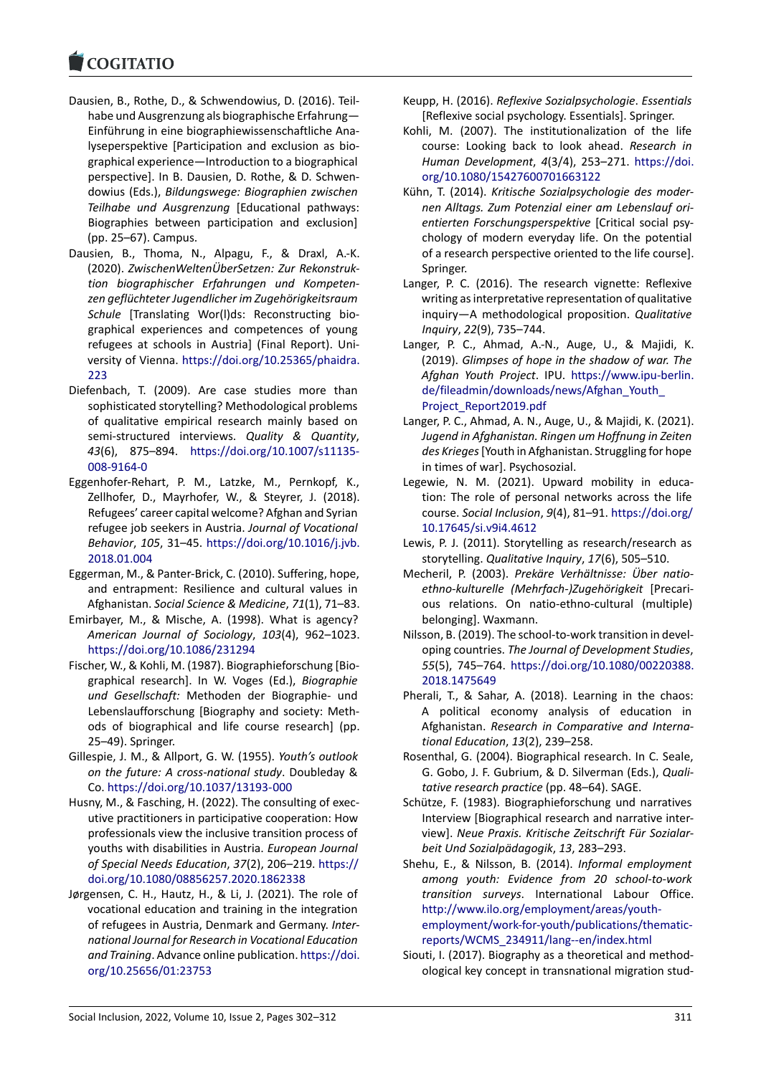#### COGITATIO

- Dausien, B., Rothe, D., & Schwendowius, D. (2016). Teil‐ [habe und Ausgren](https://www.cogitatiopress.com)zung als biographische Erfahrung— Einführung in eine biographiewissenschaftliche Ana‐ lyseperspektive [Participation and exclusion as bio‐ graphical experience—Introduction to a biographical perspective]. In B. Dausien, D. Rothe, & D. Schwen‐ dowius (Eds.), *Bildungswege: Biographien zwischen Teilhabe und Ausgrenzung* [Educational pathways: Biographies between participation and exclusion] (pp. 25–67). Campus.
- Dausien, B., Thoma, N., Alpagu, F., & Draxl, A.‐K. (2020). *ZwischenWeltenÜberSetzen: Zur Rekonstruk‐ tion biographischer Erfahrungen und Kompeten‐ zen geflüchteter Jugendlicher im Zugehörigkeitsraum Schule* [Translating Wor(l)ds: Reconstructing bio‐ graphical experiences and competences of young refugees at schools in Austria] (Final Report). Uni‐ versity of Vienna. https://doi.org/10.25365/phaidra. 223
- Diefenbach, T. (2009). Are case studies more than sophisticated storytelling? Methodological problems of qualitative em[pirical research mainly based on](https://doi.org/10.25365/phaidra.223) [sem](https://doi.org/10.25365/phaidra.223)i‐structured interviews. *Quality & Quantity*, *43*(6), 875–894. https://doi.org/10.1007/s11135‐ 008‐9164‐0
- Eggenhofer‐Rehart, P. M., Latzke, M., Pernkopf, K., Zellhofer, D., Mayrhofer, W., & Steyrer, J. (2018). Refugees' career ca[pital welcome? Afghan and Syrian](https://doi.org/10.1007/s11135-008-9164-0) [refugee job](https://doi.org/10.1007/s11135-008-9164-0) seekers in Austria. *Journal of Vocational Behavior*, *105*, 31–45. https://doi.org/10.1016/j.jvb. 2018.01.004
- Eggerman, M., & Panter‐Brick, C. (2010). Suffering, hope, and entrapment: Resilience and cultural values in Afghanistan. *Social Scie[nce & Medicine](https://doi.org/10.1016/j.jvb.2018.01.004)*, *71*(1), 71–83.
- Emi[rbayer, M., &](https://doi.org/10.1016/j.jvb.2018.01.004) Mische, A. (1998). What is agency? *American Journal of Sociology*, *103*(4), 962–1023. https://doi.org/10.1086/231294
- Fischer, W., & Kohli, M. (1987). Biographieforschung [Bio‐ graphical research]. In W. Voges (Ed.), *Biographie und Gesellschaft:* Methoden der Biographie‐ und [Lebenslaufforschung \[Biography](https://doi.org/10.1086/231294) and society: Meth‐ ods of biographical and life course research] (pp. 25–49). Springer.
- Gillespie, J. M., & Allport, G. W. (1955). *Youth's outlook on the future: A cross‐national study*. Doubleday & Co. https://doi.org/10.1037/13193‐000
- Husny, M., & Fasching, H. (2022). The consulting of exec‐ utive practitioners in participative cooperation: How professionals view the inclusive transition process of you[ths with disabilities in Austria.](https://doi.org/10.1037/13193-000) *European Journal of Special Needs Education*, *37*(2), 206–219. https:// doi.org/10.1080/08856257.2020.1862338
- Jørgensen, C. H., Hautz, H., & Li, J. (2021). The role of vocational education and training in the integration of refugees in Austria, Denmark and Germany. *[Inter‐](https://doi.org/10.1080/08856257.2020.1862338) [national Journal for Research in Vocational](https://doi.org/10.1080/08856257.2020.1862338) Education and Training*. Advance online publication. https://doi. org/10.25656/01:23753
- Keupp, H. (2016). *Reflexive Sozialpsychologie*. *Essentials* [Reflexive social psychology. Essentials]. Springer.
- Kohli, M. (2007). The institutionalization of the life course: Looking back to look ahead. *Research in Human Development*, *4*(3/4), 253–271. https://doi. org/10.1080/15427600701663122
- Kühn, T. (2014). *Kritische Sozialpsychologie des moder‐ nen Alltags. Zum Potenzial einer am Lebenslauf ori‐ entierten Forschungsperspektive* [Critica[l social psy‐](https://doi.org/10.1080/15427600701663122) [chology of modern everyday life.](https://doi.org/10.1080/15427600701663122) On the potential of a research perspective oriented to the life course]. Springer.
- Langer, P. C. (2016). The research vignette: Reflexive writing as interpretative representation of qualitative inquiry—A methodological proposition. *Qualitative Inquiry*, *22*(9), 735–744.
- Langer, P. C., Ahmad, A.-N., Auge, U., & Majidi, K. (2019). *Glimpses of hope in the shadow of war. The Afghan Youth Project*. IPU. https://www.ipu‐berlin. de/fileadmin/downloads/news/Afghan\_Youth\_ Project\_Report2019.pdf
- Langer, P. C., Ahmad, A. N., Auge, U., & Majidi, K. (2021). *Jugend in Afghanistan. Ringe[n um Hoffnung in Zeiten](https://www.ipu-berlin.de/fileadmin/downloads/news/Afghan_Youth_Project_Report2019.pdf) des Krieges*[\[Youth in Afghanistan. Struggling for](https://www.ipu-berlin.de/fileadmin/downloads/news/Afghan_Youth_Project_Report2019.pdf) hope [in times of war\]. Psychos](https://www.ipu-berlin.de/fileadmin/downloads/news/Afghan_Youth_Project_Report2019.pdf)ozial.
- Legewie, N. M. (2021). Upward mobility in education: The role of personal networks across the life course. *Social Inclusion*, *9*(4), 81–91. https://doi.org/ 10.17645/si.v9i4.4612
- Lewis, P. J. (2011). Storytelling as research/research as storytelling. *Qualitative Inquiry*, *17*(6), 505–510.
- Mecheril, P. (2003). *Prekäre Verhältni[sse: Über natio‐](https://doi.org/10.17645/si.v9i4.4612) [ethno‐kulturelle \(Meh](https://doi.org/10.17645/si.v9i4.4612)rfach‐)Zugehörigkeit* [Precari‐ ous relations. On natio‐ethno‐cultural (multiple) belonging]. Waxmann.
- Nilsson, B. (2019). The school‐to‐work transition in devel‐ oping countries. *The Journal of Development Studies*, *55*(5), 745–764. https://doi.org/10.1080/00220388. 2018.1475649
- Pherali, T., & Sahar, A. (2018). Learning in the chaos: A political economy analysis of education in Afghanistan. *Res[earch in Comparative and Interna‐](https://doi.org/10.1080/00220388.2018.1475649) [tional Educatio](https://doi.org/10.1080/00220388.2018.1475649)n*, *13*(2), 239–258.
- Rosenthal, G. (2004). Biographical research. In C. Seale, G. Gobo, J. F. Gubrium, & D. Silverman (Eds.), *Quali‐ tative research practice* (pp. 48–64). SAGE.
- Schütze, F. (1983). Biographieforschung und narratives Interview [Biographical research and narrative inter‐ view]. *Neue Praxis. Kritische Zeitschrift Für Sozialar‐ beit Und Sozialpädagogik*, *13*, 283–293.
- Shehu, E., & Nilsson, B. (2014). *Informal employment among youth: Evidence from 20 school‐to‐work transition surveys*. International Labour Office. http://www.ilo.org/employment/areas/youth‐ employment/work-for-youth/publications/thematicreports/WCMS\_234911/lang‐‐en/index.html
- Siouti, I. (2017). Biography as a theoretical and method‐ [ological key concept in transnational migration](http://www.ilo.org/employment/areas/youth-employment/work-for-youth/publications/thematic-reports/WCMS_234911/lang--en/index.html) stud‐